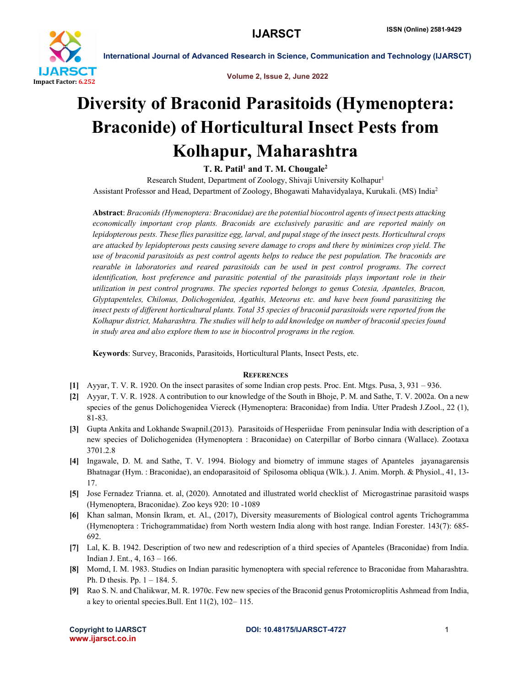

International Journal of Advanced Research in Science, Communication and Technology (IJARSCT)

Volume 2, Issue 2, June 2022

# Diversity of Braconid Parasitoids (Hymenoptera: Braconide) of Horticultural Insect Pests from Kolhapur, Maharashtra

T. R. Patil<sup>1</sup> and T. M. Chougale<sup>2</sup>

Research Student, Department of Zoology, Shivaji University Kolhapur<sup>1</sup> Assistant Professor and Head, Department of Zoology, Bhogawati Mahavidyalaya, Kurukali. (MS) India2

Abstract: *Braconids (Hymenoptera: Braconidae) are the potential biocontrol agents of insect pests attacking economically important crop plants. Braconids are exclusively parasitic and are reported mainly on lepidopterous pests. These flies parasitize egg, larval, and pupal stage of the insect pests. Horticultural crops are attacked by lepidopterous pests causing severe damage to crops and there by minimizes crop yield. The use of braconid parasitoids as pest control agents helps to reduce the pest population. The braconids are rearable in laboratories and reared parasitoids can be used in pest control programs. The correct identification, host preference and parasitic potential of the parasitoids plays important role in their utilization in pest control programs. The species reported belongs to genus Cotesia, Apanteles, Bracon, Glyptapenteles, Chilonus, Dolichogenidea, Agathis, Meteorus etc. and have been found parasitizing the insect pests of different horticultural plants. Total 35 species of braconid parasitoids were reported from the Kolhapur district, Maharashtra. The studies will help to add knowledge on number of braconid species found in study area and also explore them to use in biocontrol programs in the region.*

Keywords: Survey, Braconids, Parasitoids, Horticultural Plants, Insect Pests, etc.

### **REFERENCES**

- [1] Ayyar, T. V. R. 1920. On the insect parasites of some Indian crop pests. Proc. Ent. Mtgs. Pusa, 3, 931 936.
- [2] Ayyar, T. V. R. 1928. A contribution to our knowledge of the South in Bhoje, P. M. and Sathe, T. V. 2002a. On a new species of the genus Dolichogenidea Viereck (Hymenoptera: Braconidae) from India. Utter Pradesh J.Zool., 22 (1), 81-83.
- [3] Gupta Ankita and Lokhande Swapnil.(2013). Parasitoids of Hesperiidae From peninsular India with description of a new species of Dolichogenidea (Hymenoptera : Braconidae) on Caterpillar of Borbo cinnara (Wallace). Zootaxa 3701.2.8
- [4] Ingawale, D. M. and Sathe, T. V. 1994. Biology and biometry of immune stages of Apanteles jayanagarensis Bhatnagar (Hym. : Braconidae), an endoparasitoid of Spilosoma obliqua (Wlk.). J. Anim. Morph. & Physiol., 41, 13- 17.
- [5] Jose Fernadez Trianna. et. al, (2020). Annotated and illustrated world checklist of Microgastrinae parasitoid wasps (Hymenoptera, Braconidae). Zoo keys 920: 10 -1089
- [6] Khan salman, Monsin Ikram, et. Al., (2017), Diversity measurements of Biological control agents Trichogramma (Hymenoptera : Trichogrammatidae) from North western India along with host range. Indian Forester. 143(7): 685- 692.
- [7] Lal, K. B. 1942. Description of two new and redescription of a third species of Apanteles (Braconidae) from India. Indian J. Ent., 4, 163 – 166.
- [8] Momd, I. M. 1983. Studies on Indian parasitic hymenoptera with special reference to Braconidae from Maharashtra. Ph. D thesis. Pp. 1 – 184. 5.
- [9] Rao S. N. and Chalikwar, M. R. 1970c. Few new species of the Braconid genus Protomicroplitis Ashmead from India, a key to oriental species.Bull. Ent 11(2), 102– 115.